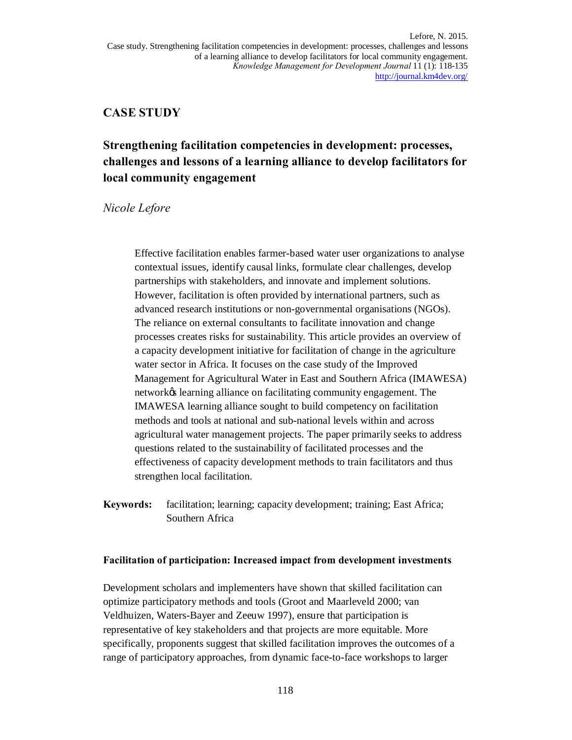## **CASE STUDY**

# **Strengthening facilitation competencies in development: processes, challenges and lessons of a learning alliance to develop facilitators for local community engagement**

## *Nicole Lefore*

Effective facilitation enables farmer-based water user organizations to analyse contextual issues, identify causal links, formulate clear challenges, develop partnerships with stakeholders, and innovate and implement solutions. However, facilitation is often provided by international partners, such as advanced research institutions or non-governmental organisations (NGOs). The reliance on external consultants to facilitate innovation and change processes creates risks for sustainability. This article provides an overview of a capacity development initiative for facilitation of change in the agriculture water sector in Africa. It focuses on the case study of the Improved Management for Agricultural Water in East and Southern Africa (IMAWESA) network $\alpha$  learning alliance on facilitating community engagement. The IMAWESA learning alliance sought to build competency on facilitation methods and tools at national and sub-national levels within and across agricultural water management projects. The paper primarily seeks to address questions related to the sustainability of facilitated processes and the effectiveness of capacity development methods to train facilitators and thus strengthen local facilitation.

**Keywords:** facilitation; learning; capacity development; training; East Africa; Southern Africa

## **Facilitation of participation: Increased impact from development investments**

Development scholars and implementers have shown that skilled facilitation can optimize participatory methods and tools (Groot and Maarleveld 2000; van Veldhuizen, Waters-Bayer and Zeeuw 1997), ensure that participation is representative of key stakeholders and that projects are more equitable. More specifically, proponents suggest that skilled facilitation improves the outcomes of a range of participatory approaches, from dynamic face-to-face workshops to larger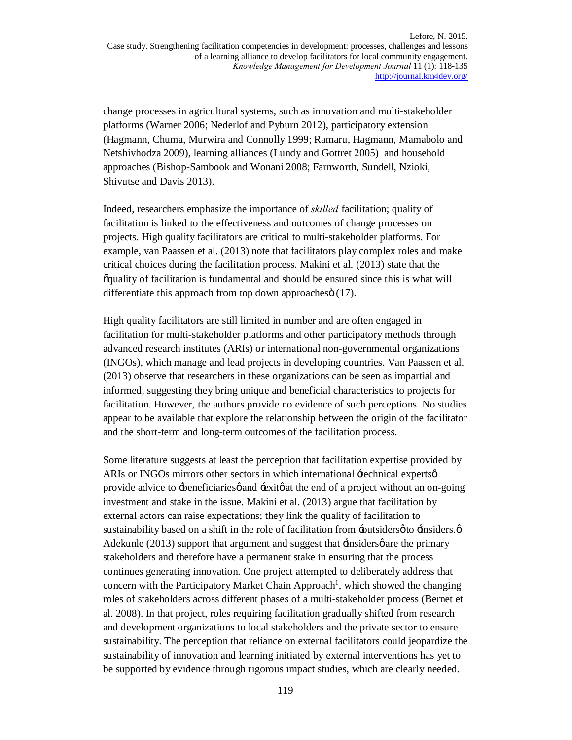change processes in agricultural systems, such as innovation and multi-stakeholder platforms (Warner 2006; Nederlof and Pyburn 2012), participatory extension (Hagmann, Chuma, Murwira and Connolly 1999; Ramaru, Hagmann, Mamabolo and Netshivhodza 2009), learning alliances (Lundy and Gottret 2005) and household approaches (Bishop-Sambook and Wonani 2008; Farnworth, Sundell, Nzioki, Shivutse and Davis 2013).

Indeed, researchers emphasize the importance of *skilled* facilitation; quality of facilitation is linked to the effectiveness and outcomes of change processes on projects. High quality facilitators are critical to multi-stakeholder platforms. For example, van Paassen et al. (2013) note that facilitators play complex roles and make critical choices during the facilitation process. Makini et al. (2013) state that the  $\alpha$  apartly of facilitation is fundamental and should be ensured since this is what will differentiate this approach from top down approaches $\ddot{\text{o}}$  (17).

High quality facilitators are still limited in number and are often engaged in facilitation for multi-stakeholder platforms and other participatory methods through advanced research institutes (ARIs) or international non-governmental organizations (INGOs), which manage and lead projects in developing countries. Van Paassen et al. (2013) observe that researchers in these organizations can be seen as impartial and informed, suggesting they bring unique and beneficial characteristics to projects for facilitation. However, the authors provide no evidence of such perceptions. No studies appear to be available that explore the relationship between the origin of the facilitator and the short-term and long-term outcomes of the facilitation process.

Some literature suggests at least the perception that facilitation expertise provided by ARIs or INGOs mirrors other sectors in which international  $\pm$ echnical experts  $\phi$ provide advice to -beneficiaries of and -exito at the end of a project without an on-going investment and stake in the issue. Makini et al. (2013) argue that facilitation by external actors can raise expectations; they link the quality of facilitation to sustainability based on a shift in the role of facilitation from -outsiders  $\phi$  -insiders. Adekunle  $(2013)$  support that argument and suggest that  $\pm$ insiders  $\phi$  are the primary stakeholders and therefore have a permanent stake in ensuring that the process continues generating innovation. One project attempted to deliberately address that concern with the Participatory Market Chain Approach<sup>1</sup>, which showed the changing roles of stakeholders across different phases of a multi-stakeholder process (Bernet et al. 2008). In that project, roles requiring facilitation gradually shifted from research and development organizations to local stakeholders and the private sector to ensure sustainability. The perception that reliance on external facilitators could jeopardize the sustainability of innovation and learning initiated by external interventions has yet to be supported by evidence through rigorous impact studies, which are clearly needed.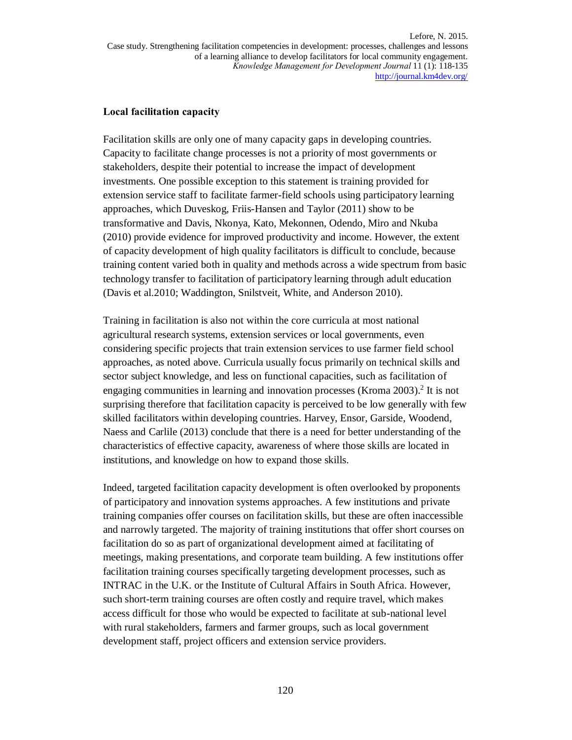## **Local facilitation capacity**

Facilitation skills are only one of many capacity gaps in developing countries. Capacity to facilitate change processes is not a priority of most governments or stakeholders, despite their potential to increase the impact of development investments. One possible exception to this statement is training provided for extension service staff to facilitate farmer-field schools using participatory learning approaches, which Duveskog, Friis-Hansen and Taylor (2011) show to be transformative and Davis, Nkonya, Kato, Mekonnen, Odendo, Miro and Nkuba (2010) provide evidence for improved productivity and income. However, the extent of capacity development of high quality facilitators is difficult to conclude, because training content varied both in quality and methods across a wide spectrum from basic technology transfer to facilitation of participatory learning through adult education (Davis et al.2010; Waddington, Snilstveit, White, and Anderson 2010).

Training in facilitation is also not within the core curricula at most national agricultural research systems, extension services or local governments, even considering specific projects that train extension services to use farmer field school approaches, as noted above. Curricula usually focus primarily on technical skills and sector subject knowledge, and less on functional capacities, such as facilitation of engaging communities in learning and innovation processes (Kroma 2003). <sup>2</sup> It is not surprising therefore that facilitation capacity is perceived to be low generally with few skilled facilitators within developing countries. Harvey, Ensor, Garside, Woodend, Naess and Carlile (2013) conclude that there is a need for better understanding of the characteristics of effective capacity, awareness of where those skills are located in institutions, and knowledge on how to expand those skills.

Indeed, targeted facilitation capacity development is often overlooked by proponents of participatory and innovation systems approaches. A few institutions and private training companies offer courses on facilitation skills, but these are often inaccessible and narrowly targeted. The majority of training institutions that offer short courses on facilitation do so as part of organizational development aimed at facilitating of meetings, making presentations, and corporate team building. A few institutions offer facilitation training courses specifically targeting development processes, such as INTRAC in the U.K. or the Institute of Cultural Affairs in South Africa. However, such short-term training courses are often costly and require travel, which makes access difficult for those who would be expected to facilitate at sub-national level with rural stakeholders, farmers and farmer groups, such as local government development staff, project officers and extension service providers.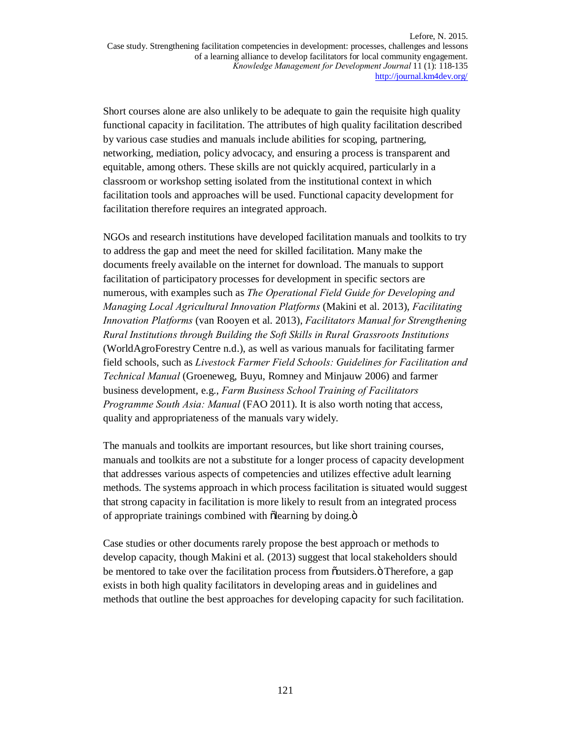Short courses alone are also unlikely to be adequate to gain the requisite high quality functional capacity in facilitation. The attributes of high quality facilitation described by various case studies and manuals include abilities for scoping, partnering, networking, mediation, policy advocacy, and ensuring a process is transparent and equitable, among others. These skills are not quickly acquired, particularly in a classroom or workshop setting isolated from the institutional context in which facilitation tools and approaches will be used. Functional capacity development for facilitation therefore requires an integrated approach.

NGOs and research institutions have developed facilitation manuals and toolkits to try to address the gap and meet the need for skilled facilitation. Many make the documents freely available on the internet for download. The manuals to support facilitation of participatory processes for development in specific sectors are numerous, with examples such as *The Operational Field Guide for Developing and Managing Local Agricultural Innovation Platforms* (Makini et al. 2013), *Facilitating Innovation Platforms* (van Rooyen et al. 2013), *Facilitators Manual for Strengthening Rural Institutions through Building the Soft Skills in Rural Grassroots Institutions* (WorldAgroForestry Centre n.d.), as well as various manuals for facilitating farmer field schools, such as *Livestock Farmer Field Schools: Guidelines for Facilitation and Technical Manual* (Groeneweg, Buyu, Romney and Minjauw 2006) and farmer business development, e.g., *Farm Business School Training of Facilitators Programme South Asia: Manual* (FAO 2011). It is also worth noting that access, quality and appropriateness of the manuals vary widely.

The manuals and toolkits are important resources, but like short training courses, manuals and toolkits are not a substitute for a longer process of capacity development that addresses various aspects of competencies and utilizes effective adult learning methods. The systems approach in which process facilitation is situated would suggest that strong capacity in facilitation is more likely to result from an integrated process of appropriate trainings combined with õlearning by doing. $\ddot{o}$ 

Case studies or other documents rarely propose the best approach or methods to develop capacity, though Makini et al. (2013) suggest that local stakeholders should be mentored to take over the facilitation process from  $\ddot{\text{o}}$  coutsiders. $\ddot{\text{o}}$  Therefore, a gap exists in both high quality facilitators in developing areas and in guidelines and methods that outline the best approaches for developing capacity for such facilitation.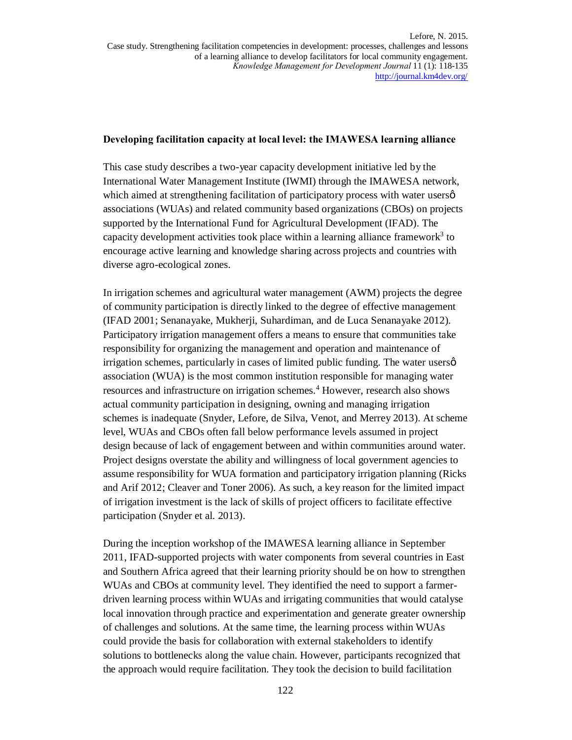### **Developing facilitation capacity at local level: the IMAWESA learning alliance**

This case study describes a two-year capacity development initiative led by the International Water Management Institute (IWMI) through the IMAWESA network, which aimed at strengthening facilitation of participatory process with water users  $\varphi$ associations (WUAs) and related community based organizations (CBOs) on projects supported by the International Fund for Agricultural Development (IFAD). The capacity development activities took place within a learning alliance framework<sup>3</sup> to encourage active learning and knowledge sharing across projects and countries with diverse agro-ecological zones.

In irrigation schemes and agricultural water management (AWM) projects the degree of community participation is directly linked to the degree of effective management (IFAD 2001; Senanayake, Mukherji, Suhardiman, and de Luca Senanayake 2012). Participatory irrigation management offers a means to ensure that communities take responsibility for organizing the management and operation and maintenance of irrigation schemes, particularly in cases of limited public funding. The water users  $\varphi$ association (WUA) is the most common institution responsible for managing water resources and infrastructure on irrigation schemes.<sup>4</sup> However, research also shows actual community participation in designing, owning and managing irrigation schemes is inadequate (Snyder, Lefore, de Silva, Venot, and Merrey 2013). At scheme level, WUAs and CBOs often fall below performance levels assumed in project design because of lack of engagement between and within communities around water. Project designs overstate the ability and willingness of local government agencies to assume responsibility for WUA formation and participatory irrigation planning (Ricks and Arif 2012; Cleaver and Toner 2006). As such, a key reason for the limited impact of irrigation investment is the lack of skills of project officers to facilitate effective participation (Snyder et al. 2013).

During the inception workshop of the IMAWESA learning alliance in September 2011, IFAD-supported projects with water components from several countries in East and Southern Africa agreed that their learning priority should be on how to strengthen WUAs and CBOs at community level. They identified the need to support a farmerdriven learning process within WUAs and irrigating communities that would catalyse local innovation through practice and experimentation and generate greater ownership of challenges and solutions. At the same time, the learning process within WUAs could provide the basis for collaboration with external stakeholders to identify solutions to bottlenecks along the value chain. However, participants recognized that the approach would require facilitation. They took the decision to build facilitation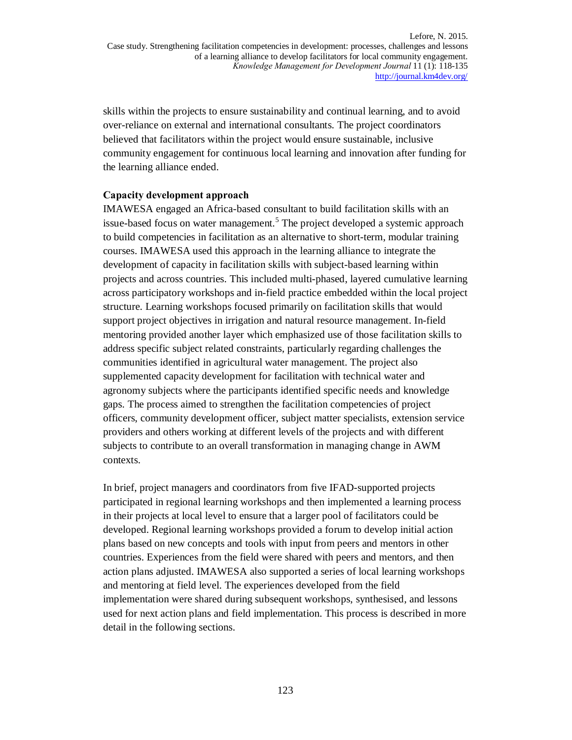skills within the projects to ensure sustainability and continual learning, and to avoid over-reliance on external and international consultants. The project coordinators believed that facilitators within the project would ensure sustainable, inclusive community engagement for continuous local learning and innovation after funding for the learning alliance ended.

#### **Capacity development approach**

IMAWESA engaged an Africa-based consultant to build facilitation skills with an issue-based focus on water management. <sup>5</sup> The project developed a systemic approach to build competencies in facilitation as an alternative to short-term, modular training courses. IMAWESA used this approach in the learning alliance to integrate the development of capacity in facilitation skills with subject-based learning within projects and across countries. This included multi-phased, layered cumulative learning across participatory workshops and in-field practice embedded within the local project structure. Learning workshops focused primarily on facilitation skills that would support project objectives in irrigation and natural resource management. In-field mentoring provided another layer which emphasized use of those facilitation skills to address specific subject related constraints, particularly regarding challenges the communities identified in agricultural water management. The project also supplemented capacity development for facilitation with technical water and agronomy subjects where the participants identified specific needs and knowledge gaps. The process aimed to strengthen the facilitation competencies of project officers, community development officer, subject matter specialists, extension service providers and others working at different levels of the projects and with different subjects to contribute to an overall transformation in managing change in AWM contexts.

In brief, project managers and coordinators from five IFAD-supported projects participated in regional learning workshops and then implemented a learning process in their projects at local level to ensure that a larger pool of facilitators could be developed. Regional learning workshops provided a forum to develop initial action plans based on new concepts and tools with input from peers and mentors in other countries. Experiences from the field were shared with peers and mentors, and then action plans adjusted. IMAWESA also supported a series of local learning workshops and mentoring at field level. The experiences developed from the field implementation were shared during subsequent workshops, synthesised, and lessons used for next action plans and field implementation. This process is described in more detail in the following sections.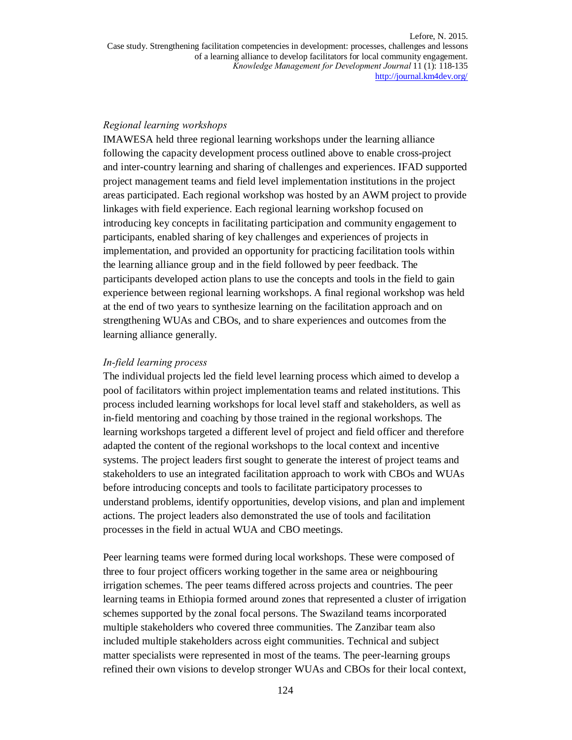#### *Regional learning workshops*

IMAWESA held three regional learning workshops under the learning alliance following the capacity development process outlined above to enable cross-project and inter-country learning and sharing of challenges and experiences. IFAD supported project management teams and field level implementation institutions in the project areas participated. Each regional workshop was hosted by an AWM project to provide linkages with field experience. Each regional learning workshop focused on introducing key concepts in facilitating participation and community engagement to participants, enabled sharing of key challenges and experiences of projects in implementation, and provided an opportunity for practicing facilitation tools within the learning alliance group and in the field followed by peer feedback. The participants developed action plans to use the concepts and tools in the field to gain experience between regional learning workshops. A final regional workshop was held at the end of two years to synthesize learning on the facilitation approach and on strengthening WUAs and CBOs, and to share experiences and outcomes from the learning alliance generally.

#### *In-field learning process*

The individual projects led the field level learning process which aimed to develop a pool of facilitators within project implementation teams and related institutions. This process included learning workshops for local level staff and stakeholders, as well as in-field mentoring and coaching by those trained in the regional workshops. The learning workshops targeted a different level of project and field officer and therefore adapted the content of the regional workshops to the local context and incentive systems. The project leaders first sought to generate the interest of project teams and stakeholders to use an integrated facilitation approach to work with CBOs and WUAs before introducing concepts and tools to facilitate participatory processes to understand problems, identify opportunities, develop visions, and plan and implement actions. The project leaders also demonstrated the use of tools and facilitation processes in the field in actual WUA and CBO meetings.

Peer learning teams were formed during local workshops. These were composed of three to four project officers working together in the same area or neighbouring irrigation schemes. The peer teams differed across projects and countries. The peer learning teams in Ethiopia formed around zones that represented a cluster of irrigation schemes supported by the zonal focal persons. The Swaziland teams incorporated multiple stakeholders who covered three communities. The Zanzibar team also included multiple stakeholders across eight communities. Technical and subject matter specialists were represented in most of the teams. The peer-learning groups refined their own visions to develop stronger WUAs and CBOs for their local context,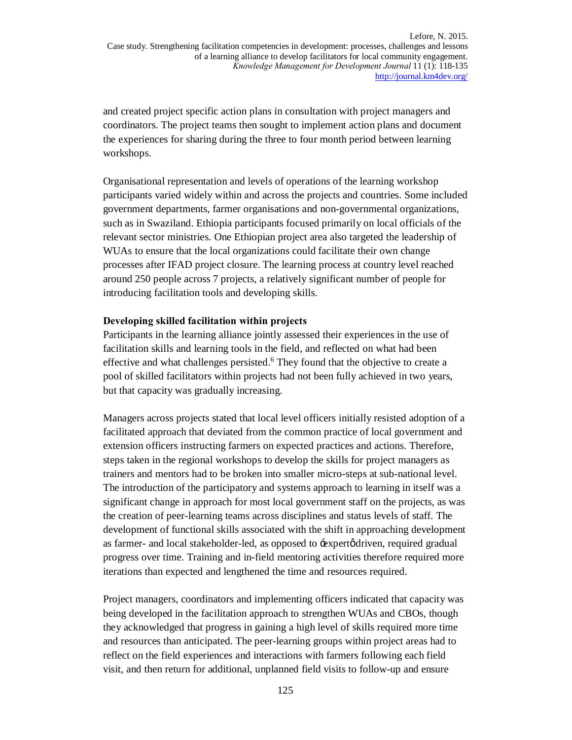and created project specific action plans in consultation with project managers and coordinators. The project teams then sought to implement action plans and document the experiences for sharing during the three to four month period between learning workshops.

Organisational representation and levels of operations of the learning workshop participants varied widely within and across the projects and countries. Some included government departments, farmer organisations and non-governmental organizations, such as in Swaziland. Ethiopia participants focused primarily on local officials of the relevant sector ministries. One Ethiopian project area also targeted the leadership of WUAs to ensure that the local organizations could facilitate their own change processes after IFAD project closure. The learning process at country level reached around 250 people across 7 projects, a relatively significant number of people for introducing facilitation tools and developing skills.

#### **Developing skilled facilitation within projects**

Participants in the learning alliance jointly assessed their experiences in the use of facilitation skills and learning tools in the field, and reflected on what had been effective and what challenges persisted.<sup>6</sup> They found that the objective to create a pool of skilled facilitators within projects had not been fully achieved in two years, but that capacity was gradually increasing.

Managers across projects stated that local level officers initially resisted adoption of a facilitated approach that deviated from the common practice of local government and extension officers instructing farmers on expected practices and actions. Therefore, steps taken in the regional workshops to develop the skills for project managers as trainers and mentors had to be broken into smaller micro-steps at sub-national level. The introduction of the participatory and systems approach to learning in itself was a significant change in approach for most local government staff on the projects, as was the creation of peer-learning teams across disciplines and status levels of staff. The development of functional skills associated with the shift in approaching development as farmer- and local stakeholder-led, as opposed to  $\div$ expert $\phi$ driven, required gradual progress over time. Training and in-field mentoring activities therefore required more iterations than expected and lengthened the time and resources required.

Project managers, coordinators and implementing officers indicated that capacity was being developed in the facilitation approach to strengthen WUAs and CBOs, though they acknowledged that progress in gaining a high level of skills required more time and resources than anticipated. The peer-learning groups within project areas had to reflect on the field experiences and interactions with farmers following each field visit, and then return for additional, unplanned field visits to follow-up and ensure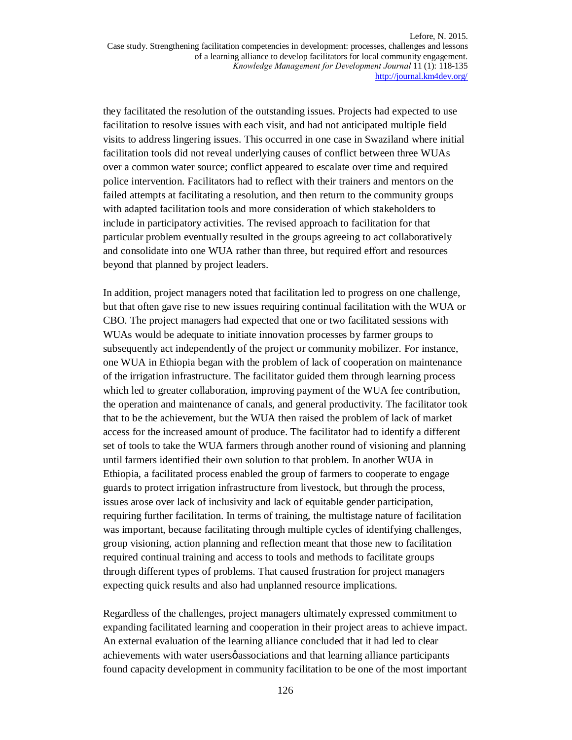they facilitated the resolution of the outstanding issues. Projects had expected to use facilitation to resolve issues with each visit, and had not anticipated multiple field visits to address lingering issues. This occurred in one case in Swaziland where initial facilitation tools did not reveal underlying causes of conflict between three WUAs over a common water source; conflict appeared to escalate over time and required police intervention. Facilitators had to reflect with their trainers and mentors on the failed attempts at facilitating a resolution, and then return to the community groups with adapted facilitation tools and more consideration of which stakeholders to include in participatory activities. The revised approach to facilitation for that particular problem eventually resulted in the groups agreeing to act collaboratively and consolidate into one WUA rather than three, but required effort and resources beyond that planned by project leaders.

In addition, project managers noted that facilitation led to progress on one challenge, but that often gave rise to new issues requiring continual facilitation with the WUA or CBO. The project managers had expected that one or two facilitated sessions with WUAs would be adequate to initiate innovation processes by farmer groups to subsequently act independently of the project or community mobilizer. For instance, one WUA in Ethiopia began with the problem of lack of cooperation on maintenance of the irrigation infrastructure. The facilitator guided them through learning process which led to greater collaboration, improving payment of the WUA fee contribution, the operation and maintenance of canals, and general productivity. The facilitator took that to be the achievement, but the WUA then raised the problem of lack of market access for the increased amount of produce. The facilitator had to identify a different set of tools to take the WUA farmers through another round of visioning and planning until farmers identified their own solution to that problem. In another WUA in Ethiopia, a facilitated process enabled the group of farmers to cooperate to engage guards to protect irrigation infrastructure from livestock, but through the process, issues arose over lack of inclusivity and lack of equitable gender participation, requiring further facilitation. In terms of training, the multistage nature of facilitation was important, because facilitating through multiple cycles of identifying challenges, group visioning, action planning and reflection meant that those new to facilitation required continual training and access to tools and methods to facilitate groups through different types of problems. That caused frustration for project managers expecting quick results and also had unplanned resource implications.

Regardless of the challenges, project managers ultimately expressed commitment to expanding facilitated learning and cooperation in their project areas to achieve impact. An external evaluation of the learning alliance concluded that it had led to clear achievements with water users *q* associations and that learning alliance participants found capacity development in community facilitation to be one of the most important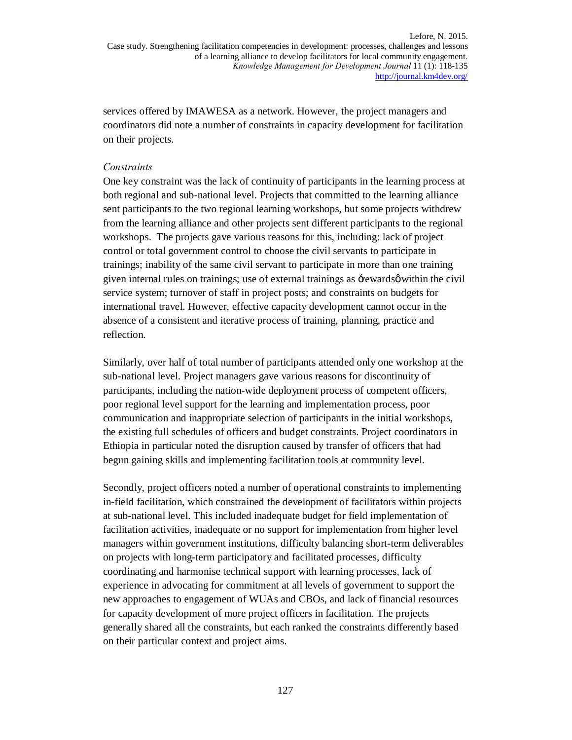services offered by IMAWESA as a network. However, the project managers and coordinators did note a number of constraints in capacity development for facilitation on their projects.

#### *Constraints*

One key constraint was the lack of continuity of participants in the learning process at both regional and sub-national level. Projects that committed to the learning alliance sent participants to the two regional learning workshops, but some projects withdrew from the learning alliance and other projects sent different participants to the regional workshops. The projects gave various reasons for this, including: lack of project control or total government control to choose the civil servants to participate in trainings; inability of the same civil servant to participate in more than one training given internal rules on trainings; use of external trainings as  $\pm$ ewards $\phi$  within the civil service system; turnover of staff in project posts; and constraints on budgets for international travel. However, effective capacity development cannot occur in the absence of a consistent and iterative process of training, planning, practice and reflection.

Similarly, over half of total number of participants attended only one workshop at the sub-national level. Project managers gave various reasons for discontinuity of participants, including the nation-wide deployment process of competent officers, poor regional level support for the learning and implementation process, poor communication and inappropriate selection of participants in the initial workshops, the existing full schedules of officers and budget constraints. Project coordinators in Ethiopia in particular noted the disruption caused by transfer of officers that had begun gaining skills and implementing facilitation tools at community level.

Secondly, project officers noted a number of operational constraints to implementing in-field facilitation, which constrained the development of facilitators within projects at sub-national level. This included inadequate budget for field implementation of facilitation activities, inadequate or no support for implementation from higher level managers within government institutions, difficulty balancing short-term deliverables on projects with long-term participatory and facilitated processes, difficulty coordinating and harmonise technical support with learning processes, lack of experience in advocating for commitment at all levels of government to support the new approaches to engagement of WUAs and CBOs, and lack of financial resources for capacity development of more project officers in facilitation. The projects generally shared all the constraints, but each ranked the constraints differently based on their particular context and project aims.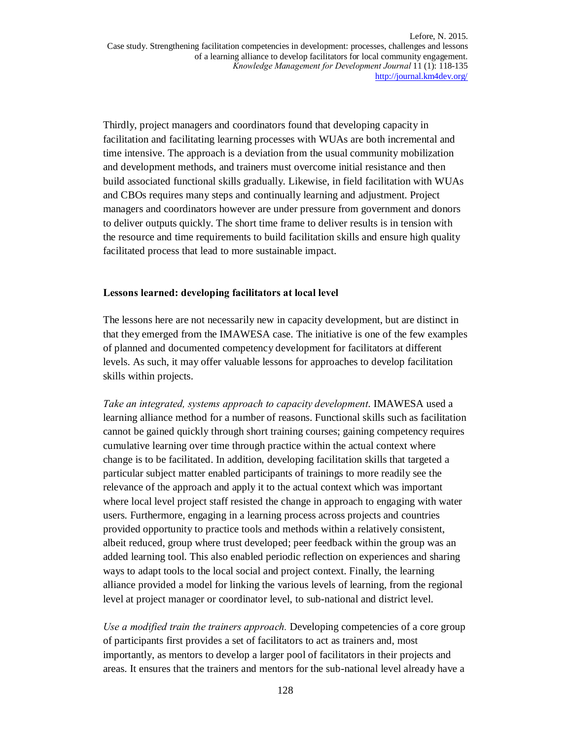Thirdly, project managers and coordinators found that developing capacity in facilitation and facilitating learning processes with WUAs are both incremental and time intensive. The approach is a deviation from the usual community mobilization and development methods, and trainers must overcome initial resistance and then build associated functional skills gradually. Likewise, in field facilitation with WUAs and CBOs requires many steps and continually learning and adjustment. Project managers and coordinators however are under pressure from government and donors to deliver outputs quickly. The short time frame to deliver results is in tension with the resource and time requirements to build facilitation skills and ensure high quality facilitated process that lead to more sustainable impact.

#### **Lessons learned: developing facilitators at local level**

The lessons here are not necessarily new in capacity development, but are distinct in that they emerged from the IMAWESA case. The initiative is one of the few examples of planned and documented competency development for facilitators at different levels. As such, it may offer valuable lessons for approaches to develop facilitation skills within projects.

*Take an integrated, systems approach to capacity development*. IMAWESA used a learning alliance method for a number of reasons. Functional skills such as facilitation cannot be gained quickly through short training courses; gaining competency requires cumulative learning over time through practice within the actual context where change is to be facilitated. In addition, developing facilitation skills that targeted a particular subject matter enabled participants of trainings to more readily see the relevance of the approach and apply it to the actual context which was important where local level project staff resisted the change in approach to engaging with water users. Furthermore, engaging in a learning process across projects and countries provided opportunity to practice tools and methods within a relatively consistent, albeit reduced, group where trust developed; peer feedback within the group was an added learning tool. This also enabled periodic reflection on experiences and sharing ways to adapt tools to the local social and project context. Finally, the learning alliance provided a model for linking the various levels of learning, from the regional level at project manager or coordinator level, to sub-national and district level.

*Use a modified train the trainers approach.* Developing competencies of a core group of participants first provides a set of facilitators to act as trainers and, most importantly, as mentors to develop a larger pool of facilitators in their projects and areas. It ensures that the trainers and mentors for the sub-national level already have a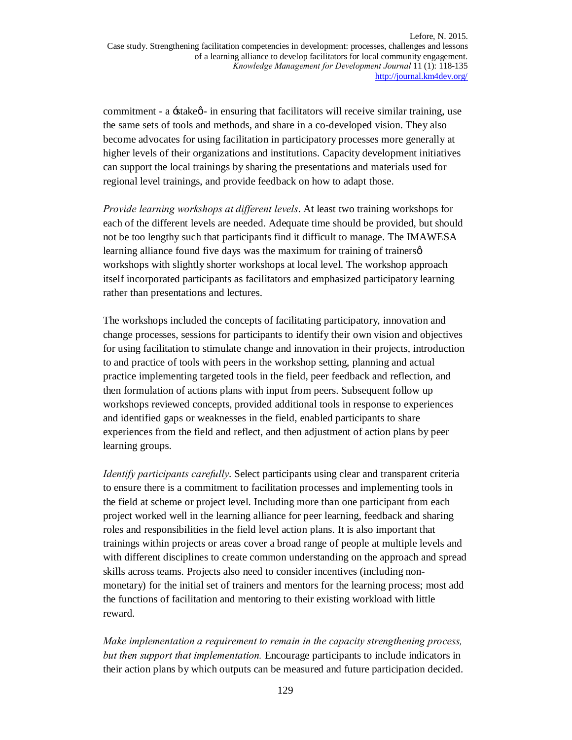commitment - a  $\div$ stake $\phi$  - in ensuring that facilitators will receive similar training, use the same sets of tools and methods, and share in a co-developed vision. They also become advocates for using facilitation in participatory processes more generally at higher levels of their organizations and institutions. Capacity development initiatives can support the local trainings by sharing the presentations and materials used for regional level trainings, and provide feedback on how to adapt those.

*Provide learning workshops at different levels*. At least two training workshops for each of the different levels are needed. Adequate time should be provided, but should not be too lengthy such that participants find it difficult to manage. The IMAWESA learning alliance found five days was the maximum for training of trainersø workshops with slightly shorter workshops at local level. The workshop approach itself incorporated participants as facilitators and emphasized participatory learning rather than presentations and lectures.

The workshops included the concepts of facilitating participatory, innovation and change processes, sessions for participants to identify their own vision and objectives for using facilitation to stimulate change and innovation in their projects, introduction to and practice of tools with peers in the workshop setting, planning and actual practice implementing targeted tools in the field, peer feedback and reflection, and then formulation of actions plans with input from peers. Subsequent follow up workshops reviewed concepts, provided additional tools in response to experiences and identified gaps or weaknesses in the field, enabled participants to share experiences from the field and reflect, and then adjustment of action plans by peer learning groups.

*Identify participants carefully*. Select participants using clear and transparent criteria to ensure there is a commitment to facilitation processes and implementing tools in the field at scheme or project level. Including more than one participant from each project worked well in the learning alliance for peer learning, feedback and sharing roles and responsibilities in the field level action plans. It is also important that trainings within projects or areas cover a broad range of people at multiple levels and with different disciplines to create common understanding on the approach and spread skills across teams. Projects also need to consider incentives (including nonmonetary) for the initial set of trainers and mentors for the learning process; most add the functions of facilitation and mentoring to their existing workload with little reward.

*Make implementation a requirement to remain in the capacity strengthening process, but then support that implementation.* Encourage participants to include indicators in their action plans by which outputs can be measured and future participation decided.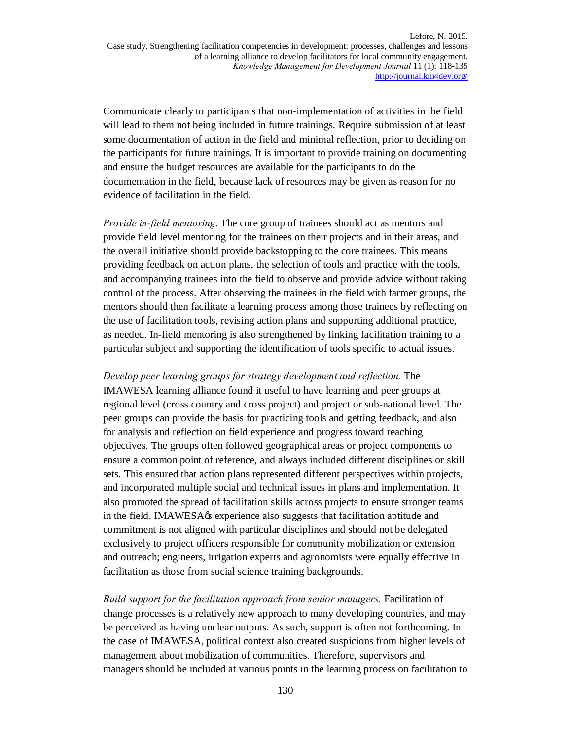Communicate clearly to participants that non-implementation of activities in the field will lead to them not being included in future trainings. Require submission of at least some documentation of action in the field and minimal reflection, prior to deciding on the participants for future trainings. It is important to provide training on documenting and ensure the budget resources are available for the participants to do the documentation in the field, because lack of resources may be given as reason for no evidence of facilitation in the field.

*Provide in-field mentoring*. The core group of trainees should act as mentors and provide field level mentoring for the trainees on their projects and in their areas, and the overall initiative should provide backstopping to the core trainees. This means providing feedback on action plans, the selection of tools and practice with the tools, and accompanying trainees into the field to observe and provide advice without taking control of the process. After observing the trainees in the field with farmer groups, the mentors should then facilitate a learning process among those trainees by reflecting on the use of facilitation tools, revising action plans and supporting additional practice, as needed. In-field mentoring is also strengthened by linking facilitation training to a particular subject and supporting the identification of tools specific to actual issues.

*Develop peer learning groups for strategy development and reflection.* The IMAWESA learning alliance found it useful to have learning and peer groups at regional level (cross country and cross project) and project or sub-national level. The peer groups can provide the basis for practicing tools and getting feedback, and also for analysis and reflection on field experience and progress toward reaching objectives. The groups often followed geographical areas or project components to ensure a common point of reference, and always included different disciplines or skill sets. This ensured that action plans represented different perspectives within projects, and incorporated multiple social and technical issues in plans and implementation. It also promoted the spread of facilitation skills across projects to ensure stronger teams in the field. IMAWESA $\alpha$  experience also suggests that facilitation aptitude and commitment is not aligned with particular disciplines and should not be delegated exclusively to project officers responsible for community mobilization or extension and outreach; engineers, irrigation experts and agronomists were equally effective in facilitation as those from social science training backgrounds.

*Build support for the facilitation approach from senior managers.* Facilitation of change processes is a relatively new approach to many developing countries, and may be perceived as having unclear outputs. As such, support is often not forthcoming. In the case of IMAWESA, political context also created suspicions from higher levels of management about mobilization of communities. Therefore, supervisors and managers should be included at various points in the learning process on facilitation to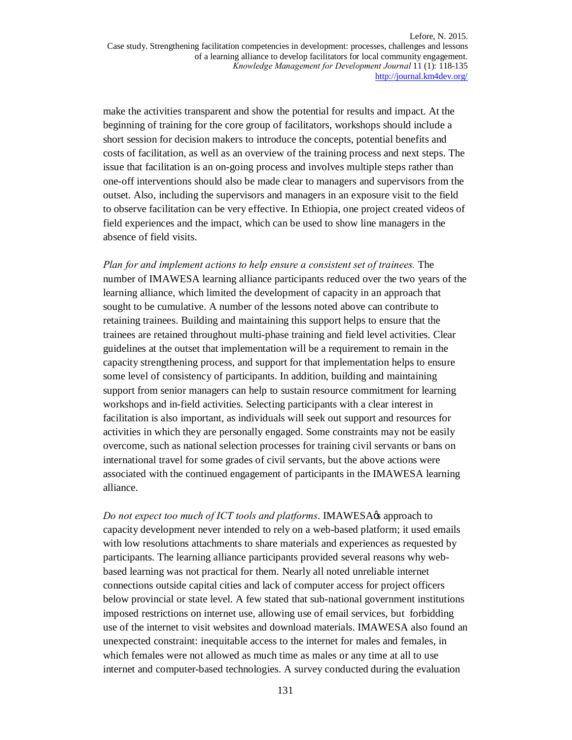make the activities transparent and show the potential for results and impact. At the beginning of training for the core group of facilitators, workshops should include a short session for decision makers to introduce the concepts, potential benefits and costs of facilitation, as well as an overview of the training process and next steps. The issue that facilitation is an on-going process and involves multiple steps rather than one-off interventions should also be made clear to managers and supervisors from the outset. Also, including the supervisors and managers in an exposure visit to the field to observe facilitation can be very effective. In Ethiopia, one project created videos of field experiences and the impact, which can be used to show line managers in the absence of field visits.

*Plan for and implement actions to help ensure a consistent set of trainees.* The number of IMAWESA learning alliance participants reduced over the two years of the learning alliance, which limited the development of capacity in an approach that sought to be cumulative. A number of the lessons noted above can contribute to retaining trainees. Building and maintaining this support helps to ensure that the trainees are retained throughout multi-phase training and field level activities. Clear guidelines at the outset that implementation will be a requirement to remain in the capacity strengthening process, and support for that implementation helps to ensure some level of consistency of participants. In addition, building and maintaining support from senior managers can help to sustain resource commitment for learning workshops and in-field activities. Selecting participants with a clear interest in facilitation is also important, as individuals will seek out support and resources for activities in which they are personally engaged. Some constraints may not be easily overcome, such as national selection processes for training civil servants or bans on international travel for some grades of civil servants, but the above actions were associated with the continued engagement of participants in the IMAWESA learning alliance.

*Do not expect too much of ICT tools and platforms*. **IMAWESA** $\alpha$ s approach to capacity development never intended to rely on a web-based platform; it used emails with low resolutions attachments to share materials and experiences as requested by participants. The learning alliance participants provided several reasons why webbased learning was not practical for them. Nearly all noted unreliable internet connections outside capital cities and lack of computer access for project officers below provincial or state level. A few stated that sub-national government institutions imposed restrictions on internet use, allowing use of email services, but forbidding use of the internet to visit websites and download materials. IMAWESA also found an unexpected constraint: inequitable access to the internet for males and females, in which females were not allowed as much time as males or any time at all to use internet and computer-based technologies. A survey conducted during the evaluation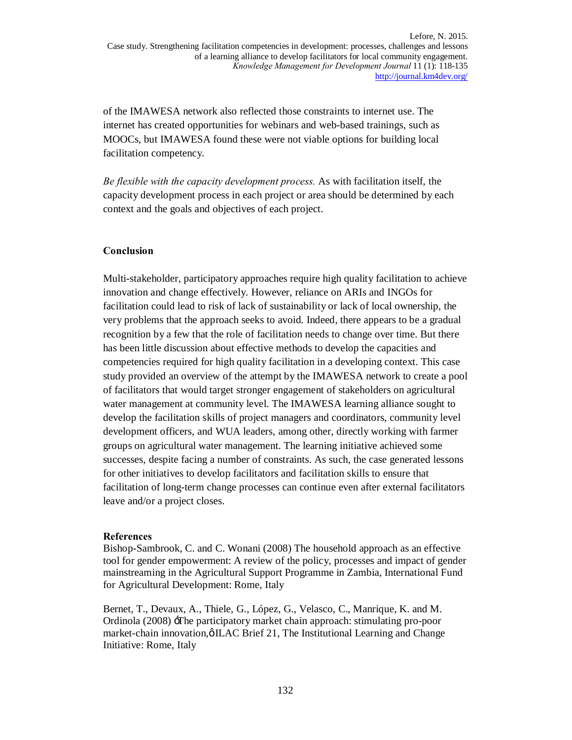of the IMAWESA network also reflected those constraints to internet use. The internet has created opportunities for webinars and web-based trainings, such as MOOCs, but IMAWESA found these were not viable options for building local facilitation competency.

*Be flexible with the capacity development process.* As with facilitation itself, the capacity development process in each project or area should be determined by each context and the goals and objectives of each project.

## **Conclusion**

Multi-stakeholder, participatory approaches require high quality facilitation to achieve innovation and change effectively. However, reliance on ARIs and INGOs for facilitation could lead to risk of lack of sustainability or lack of local ownership, the very problems that the approach seeks to avoid. Indeed, there appears to be a gradual recognition by a few that the role of facilitation needs to change over time. But there has been little discussion about effective methods to develop the capacities and competencies required for high quality facilitation in a developing context. This case study provided an overview of the attempt by the IMAWESA network to create a pool of facilitators that would target stronger engagement of stakeholders on agricultural water management at community level. The IMAWESA learning alliance sought to develop the facilitation skills of project managers and coordinators, community level development officers, and WUA leaders, among other, directly working with farmer groups on agricultural water management. The learning initiative achieved some successes, despite facing a number of constraints. As such, the case generated lessons for other initiatives to develop facilitators and facilitation skills to ensure that facilitation of long-term change processes can continue even after external facilitators leave and/or a project closes.

#### **References**

Bishop-Sambrook, C. and C. Wonani (2008) The household approach as an effective tool for gender empowerment: A review of the policy, processes and impact of gender mainstreaming in the Agricultural Support Programme in Zambia, International Fund for Agricultural Development: Rome, Italy

Bernet, T., Devaux, A., Thiele, G., López, G., Velasco, C., Manrique, K. and M. Ordinola (2008) -The participatory market chain approach: stimulating pro-poor market-chain innovation, $\phi$  ILAC Brief 21, The Institutional Learning and Change Initiative: Rome, Italy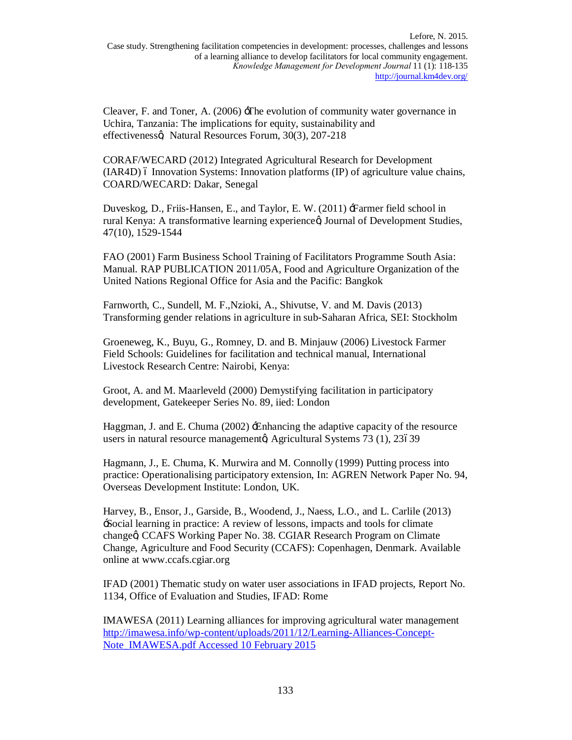Cleaver, F. and Toner, A. (2006) -The evolution of community water governance in Uchira, Tanzania: The implications for equity, sustainability and effectivenesso, Natural Resources Forum, 30(3), 207-218

CORAF/WECARD (2012) Integrated Agricultural Research for Development  $(IAR4D)$  6 Innovation Systems: Innovation platforms  $(IP)$  of agriculture value chains, COARD/WECARD: Dakar, Senegal

Duveskog, D., Friis-Hansen, E., and Taylor, E. W. (2011)  $\pm$ Farmer field school in rural Kenya: A transformative learning experienceø, Journal of Development Studies, 47(10), 1529-1544

FAO (2001) Farm Business School Training of Facilitators Programme South Asia: Manual. RAP PUBLICATION 2011/05A, Food and Agriculture Organization of the United Nations Regional Office for Asia and the Pacific: Bangkok

Farnworth, C., Sundell, M. F.,Nzioki, A., Shivutse, V. and M. Davis (2013) Transforming gender relations in agriculture in sub-Saharan Africa, SEI: Stockholm

Groeneweg, K., Buyu, G., Romney, D. and B. Minjauw (2006) Livestock Farmer Field Schools: Guidelines for facilitation and technical manual, International Livestock Research Centre: Nairobi, Kenya:

Groot, A. and M. Maarleveld (2000) Demystifying facilitation in participatory development, Gatekeeper Series No. 89, iied: London

Haggman, J. and E. Chuma (2002) 'Enhancing the adaptive capacity of the resource users in natural resource managementø, Agricultural Systems 73 (1), 23639

Hagmann, J., E. Chuma, K. Murwira and M. Connolly (1999) Putting process into practice: Operationalising participatory extension, In: AGREN Network Paper No. 94, Overseas Development Institute: London, UK.

Harvey, B., Ensor, J., Garside, B., Woodend, J., Naess, L.O., and L. Carlile (2013) 'Social learning in practice: A review of lessons, impacts and tools for climate changeg, CCAFS Working Paper No. 38. CGIAR Research Program on Climate Change, Agriculture and Food Security (CCAFS): Copenhagen, Denmark. Available online at www.ccafs.cgiar.org

IFAD (2001) Thematic study on water user associations in IFAD projects, Report No. 1134, Office of Evaluation and Studies, IFAD: Rome

IMAWESA (2011) Learning alliances for improving agricultural water management http://imawesa.info/wp-content/uploads/2011/12/Learning-Alliances-Concept-Note\_IMAWESA.pdf Accessed 10 February 2015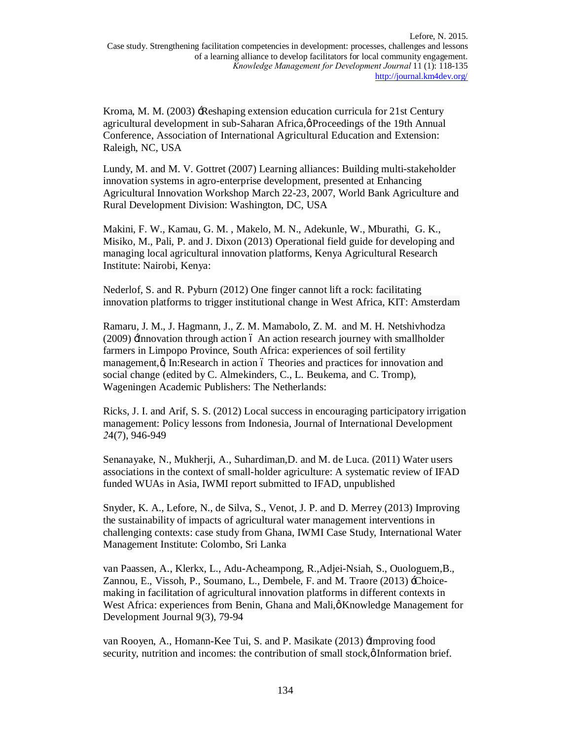Kroma, M. M. (2003)  $\exists$ Reshaping extension education curricula for 21st Century agricultural development in sub-Saharan Africa, $\phi$  Proceedings of the 19th Annual Conference, Association of International Agricultural Education and Extension: Raleigh, NC, USA

Lundy, M. and M. V. Gottret (2007) Learning alliances: Building multi-stakeholder innovation systems in agro-enterprise development, presented at Enhancing Agricultural Innovation Workshop March 22-23, 2007, World Bank Agriculture and Rural Development Division: Washington, DC, USA

Makini, F. W., Kamau, G. M. , Makelo, M. N., Adekunle, W., Mburathi, G. K., Misiko, M., Pali, P. and J. Dixon (2013) Operational field guide for developing and managing local agricultural innovation platforms, Kenya Agricultural Research Institute: Nairobi, Kenya:

Nederlof, S. and R. Pyburn (2012) One finger cannot lift a rock: facilitating innovation platforms to trigger institutional change in West Africa, KIT: Amsterdam

Ramaru, J. M., J. Hagmann, J., Z. M. Mamabolo, Z. M. and M. H. Netshivhodza (2009) He innovation through action 6 An action research journey with smallholder farmers in Limpopo Province, South Africa: experiences of soil fertility management, $\alpha$  In:Research in action 6 Theories and practices for innovation and social change (edited by C. Almekinders, C., L. Beukema, and C. Tromp), Wageningen Academic Publishers: The Netherlands:

Ricks, J. I. and Arif, S. S. (2012) Local success in encouraging participatory irrigation management: Policy lessons from Indonesia, Journal of International Development *2*4(7), 946-949

Senanayake, N., Mukherji, A., Suhardiman,D. and M. de Luca. (2011) Water users associations in the context of small-holder agriculture: A systematic review of IFAD funded WUAs in Asia, IWMI report submitted to IFAD, unpublished

Snyder, K. A., Lefore, N., de Silva, S., Venot, J. P. and D. Merrey (2013) Improving the sustainability of impacts of agricultural water management interventions in challenging contexts: case study from Ghana, IWMI Case Study, International Water Management Institute: Colombo, Sri Lanka

van Paassen, A., Klerkx, L., Adu-Acheampong, R.,Adjei-Nsiah, S., Ouologuem,B., Zannou, E., Vissoh, P., Soumano, L., Dembele, F. and M. Traore (2013) - Choicemaking in facilitation of agricultural innovation platforms in different contexts in West Africa: experiences from Benin, Ghana and Mali, $\phi$ Knowledge Management for Development Journal 9(3), 79-94

van Rooyen, A., Homann-Kee Tui, S. and P. Masikate (2013) *Heroving food* security, nutrition and incomes: the contribution of small stock,  $\emptyset$  Information brief.